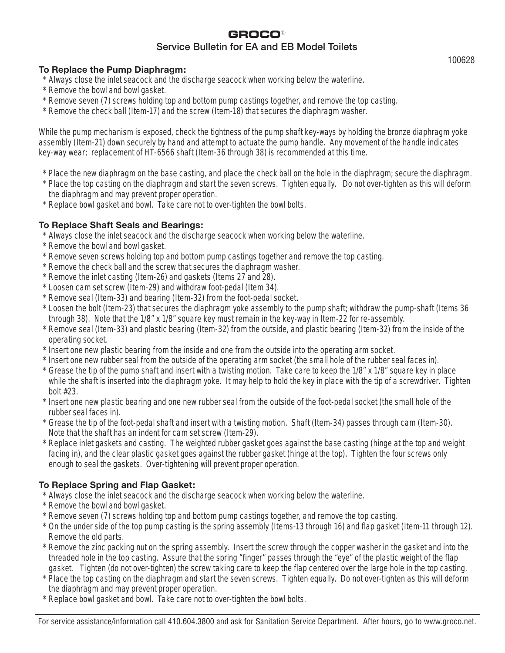# **GROCO**<sup>y</sup> Service Bulletin for EA and EB Model Toilets

## **To Replace the Pump Diaphragm:**

- \* Always close the inlet seacock and the discharge seacock when working below the waterline.
- \* Remove the bowl and bowl gasket.
- \* Remove seven (7) screws holding top and bottom pump castings together, and remove the top casting.
- \* Remove the check ball (Item-17) and the screw (Item-18) that secures the diaphragm washer.

While the pump mechanism is exposed, check the tightness of the pump shaft key-ways by holding the bronze diaphragm yoke assembly (Item-21) down securely by hand and attempt to actuate the pump handle. Any movement of the handle indicates key-way wear; replacement of HT-6566 shaft (Item-36 through 38) is recommended at this time.

- \* Place the new diaphragm on the base casting, and place the check ball on the hole in the diaphragm; secure the diaphragm.
- \* Place the top casting on the diaphragm and start the seven screws. Tighten equally. Do not over-tighten as this will deform the diaphragm and may prevent proper operation.
- \* Replace bowl gasket and bowl. Take care not to over-tighten the bowl bolts.

# **To Replace Shaft Seals and Bearings:**

- \* Always close the inlet seacock and the discharge seacock when working below the waterline.
- \* Remove the bowl and bowl gasket.
- \* Remove seven screws holding top and bottom pump castings together and remove the top casting.
- \* Remove the check ball and the screw that secures the diaphragm washer.
- \* Remove the inlet casting (Item-26) and gaskets (Items 27 and 28).
- \* Loosen cam set screw (Item-29) and withdraw foot-pedal (Item 34).
- \* Remove seal (Item-33) and bearing (Item-32) from the foot-pedal socket.
- \* Loosen the bolt (Item-23) that secures the diaphragm yoke assembly to the pump shaft; withdraw the pump-shaft (Items 36 through 38). Note that the 1/8" x 1/8" square key must remain in the key-way in Item-22 for re-assembly.
- \* Remove seal (Item-33) and plastic bearing (Item-32) from the outside, and plastic bearing (Item-32) from the inside of the operating socket.
- \* Insert one new plastic bearing from the inside and one from the outside into the operating arm socket.
- \* Insert one new rubber seal from the outside of the operating arm socket (the small hole of the rubber seal faces in).
- \* Grease the tip of the pump shaft and insert with a twisting motion. Take care to keep the 1/8" x 1/8" square key in place while the shaft is inserted into the diaphragm yoke. It may help to hold the key in place with the tip of a screwdriver. Tighten bolt #23.
- \* Insert one new plastic bearing and one new rubber seal from the outside of the foot-pedal socket (the small hole of the rubber seal faces in).
- \* Grease the tip of the foot-pedal shaft and insert with a twisting motion. Shaft (Item-34) passes through cam (Item-30). Note that the shaft has an indent for cam set screw (Item-29).
- \* Replace inlet gaskets and casting. The weighted rubber gasket goes against the base casting (hinge at the top and weight facing in), and the clear plastic gasket goes against the rubber gasket (hinge at the top). Tighten the four screws only enough to seal the gaskets. Over-tightening will prevent proper operation.

# **To Replace Spring and Flap Gasket:**

- Always close the inlet seacock and the discharge seacock when working below the waterline.
- \* Remove the bowl and bowl gasket.
- \* Remove seven (7) screws holding top and bottom pump castings together, and remove the top casting.
- \* On the under side of the top pump casting is the spring assembly (Items-13 through 16) and flap gasket (Item-11 through 12). Remove the old parts.
- \* Remove the zinc packing nut on the spring assembly. Insert the screw through the copper washer in the gasket and into the threaded hole in the top casting. Assure that the spring "finger" passes through the "eye" of the plastic weight of the flap gasket. Tighten (do not over-tighten) the screw taking care to keep the flap centered over the large hole in the top casting.
- \* Place the top casting on the diaphragm and start the seven screws. Tighten equally. Do not over-tighten as this will deform the diaphragm and may prevent proper operation.
- \* Replace bowl gasket and bowl. Take care not to over-tighten the bowl bolts.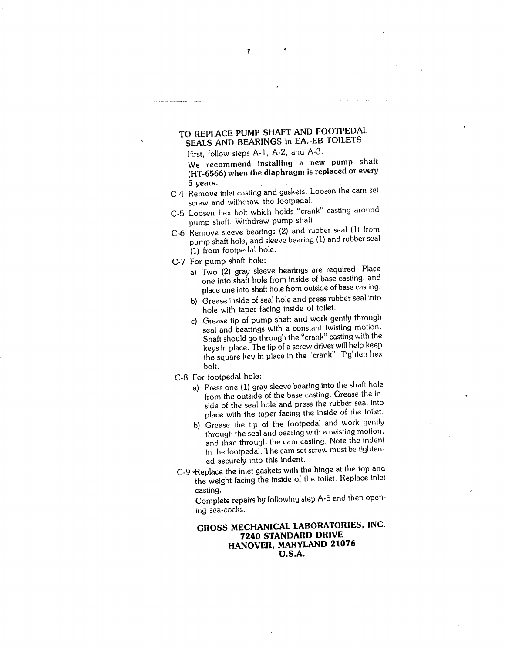## TO REPLACE PUMP SHAFT AND FOOTPEDAL SEALS AND BEARINGS in EA.-EB TOILETS

First, follow steps A-1, A-2, and A-3.

We recommend installing a new pump shaft (HT-6566) when the diaphragm is replaced or every 5 years.

- C-4 Remove inlet casting and gaskets. Loosen the cam set screw and withdraw the footpedal.
- C-5 Loosen hex bolt which holds "crank" casting around pump shaft. Withdraw pump shaft.
- C-6 Remove sleeve bearings (2) and rubber seal (1) from pump shaft hole, and sleeve bearing (1) and rubber seal (1) from footpedal hole.
- C-7 For pump shaft hole:
	- a) Two (2) gray sleeve bearings are required. Place one into shaft hole from inside of base casting, and place one into shaft hole from outside of base casting.
	- b) Grease inside of seal hole and press rubber seal into hole with taper facing inside of toilet.
	- c) Grease tip of pump shaft and work gently through seal and bearings with a constant twisting motion. Shaft should go through the "crank" casting with the keys in place. The tip of a screw driver will help keep the square key in place in the "crank". Tighten hex bolt.
- C-8 For footpedal hole:
	- a) Press one (1) gray sleeve bearing into the shaft hole from the outside of the base casting. Grease the inside of the seal hole and press the rubber seal into place with the taper facing the inside of the toilet.
	- b) Grease the tip of the footpedal and work gently through the seal and bearing with a twisting motion, and then through the cam casting. Note the indent in the footpedal. The cam set screw must be tightened securely into this indent.
- C-9 Replace the inlet gaskets with the hinge at the top and the weight facing the inside of the toilet. Replace inlet casting.

Complete repairs by following step A-5 and then opening sea-cocks.

### GROSS MECHANICAL LABORATORIES, INC. 7240 STANDARD DRIVE HANOVER, MARYLAND 21076 **U.S.A.**